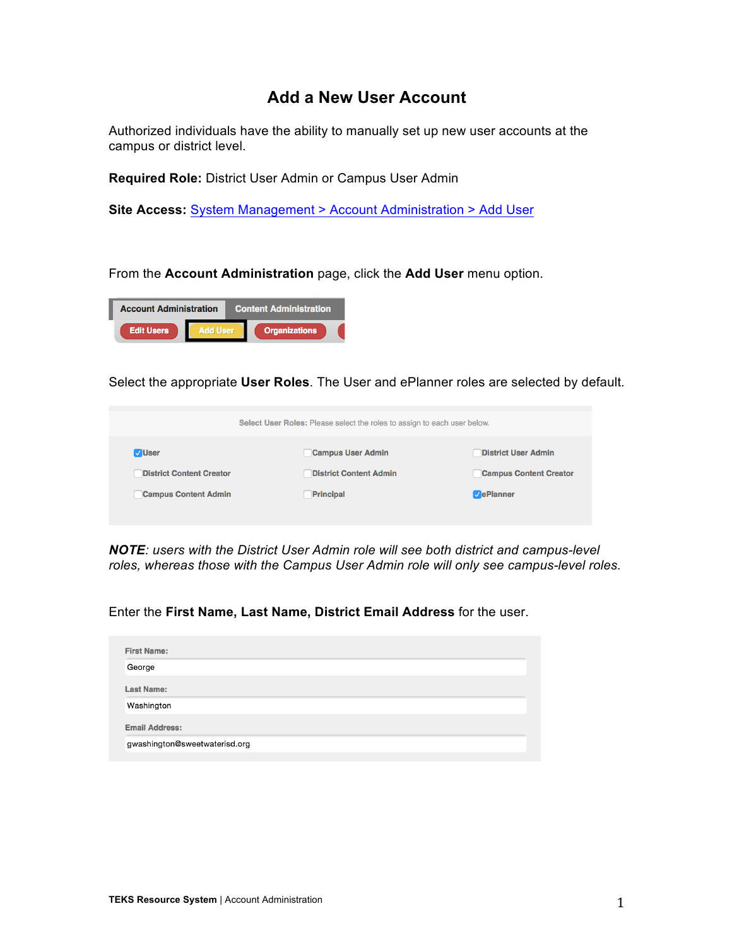## **Add a New User Account**

Authorized individuals have the ability to manually set up new user accounts at the campus or district level.

**Required Role:** District User Admin or Campus User Admin

**Site Access:** System Management > Account Administration > Add User

From the **Account Administration** page, click the **Add User** menu option.



Select the appropriate **User Roles**. The User and ePlanner roles are selected by default.

|                                 | Select User Roles: Please select the roles to assign to each user below. |                               |
|---------------------------------|--------------------------------------------------------------------------|-------------------------------|
| <b>VUser</b>                    | <b>Campus User Admin</b>                                                 | <b>District User Admin</b>    |
| <b>District Content Creator</b> | <b>District Content Admin</b>                                            | <b>Campus Content Creator</b> |
| <b>Campus Content Admin</b>     | Principal                                                                | <b>VePlanner</b>              |
|                                 |                                                                          |                               |

*NOTE: users with the District User Admin role will see both district and campus-level roles, whereas those with the Campus User Admin role will only see campus-level roles.*

Enter the **First Name, Last Name, District Email Address** for the user.

| <b>First Name:</b>            |  |  |
|-------------------------------|--|--|
| George                        |  |  |
| Last Name:                    |  |  |
| Washington                    |  |  |
| <b>Email Address:</b>         |  |  |
| gwashington@sweetwaterisd.org |  |  |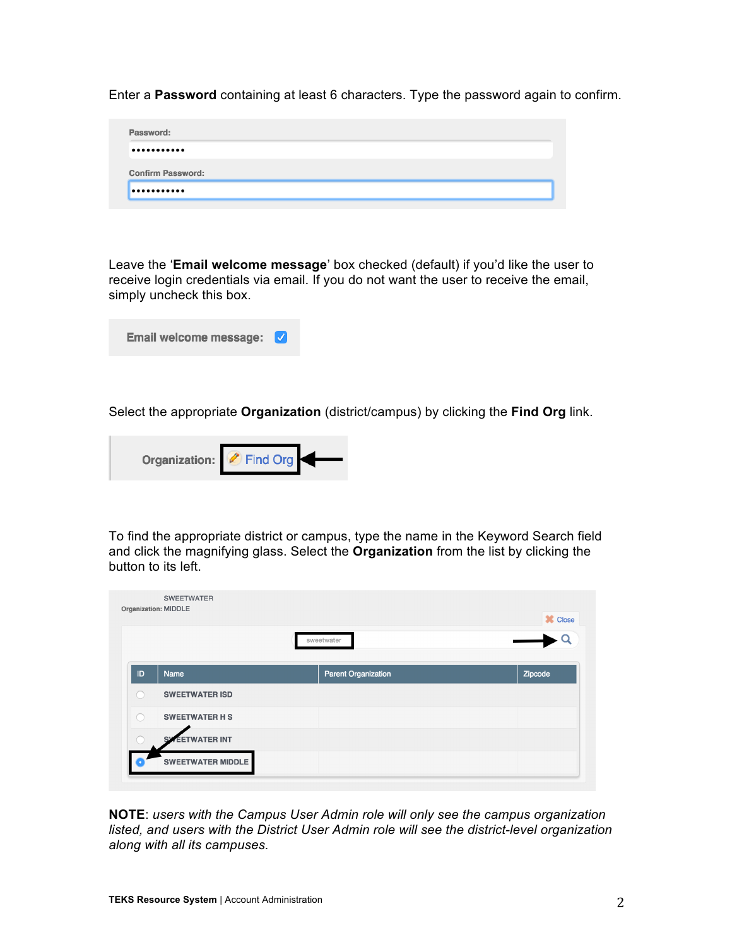Enter a **Password** containing at least 6 characters. Type the password again to confirm.

| Password:                |  |  |
|--------------------------|--|--|
|                          |  |  |
|                          |  |  |
|                          |  |  |
| <b>Confirm Password:</b> |  |  |

Leave the '**Email welcome message**' box checked (default) if you'd like the user to receive login credentials via email. If you do not want the user to receive the email, simply uncheck this box.

| Email welcome message: V |  |  |
|--------------------------|--|--|
|--------------------------|--|--|

Select the appropriate **Organization** (district/campus) by clicking the **Find Org** link.



To find the appropriate district or campus, type the name in the Keyword Search field and click the magnifying glass. Select the **Organization** from the list by clicking the button to its left.

|    | <b>SWEETWATER</b><br>Organization: MIDDLE |                            | <b>X</b> Close |
|----|-------------------------------------------|----------------------------|----------------|
|    |                                           | sweetwater                 |                |
| ID | <b>Name</b>                               | <b>Parent Organization</b> | Zipcode        |
|    | <b>SWEETWATER ISD</b>                     |                            |                |
|    | <b>SWEETWATER H S</b>                     |                            |                |
|    | <b>EETWATER INT</b>                       |                            |                |
|    | <b>SWEETWATER MIDDLE</b>                  |                            |                |

**NOTE**: *users with the Campus User Admin role will only see the campus organization listed, and users with the District User Admin role will see the district-level organization along with all its campuses.*